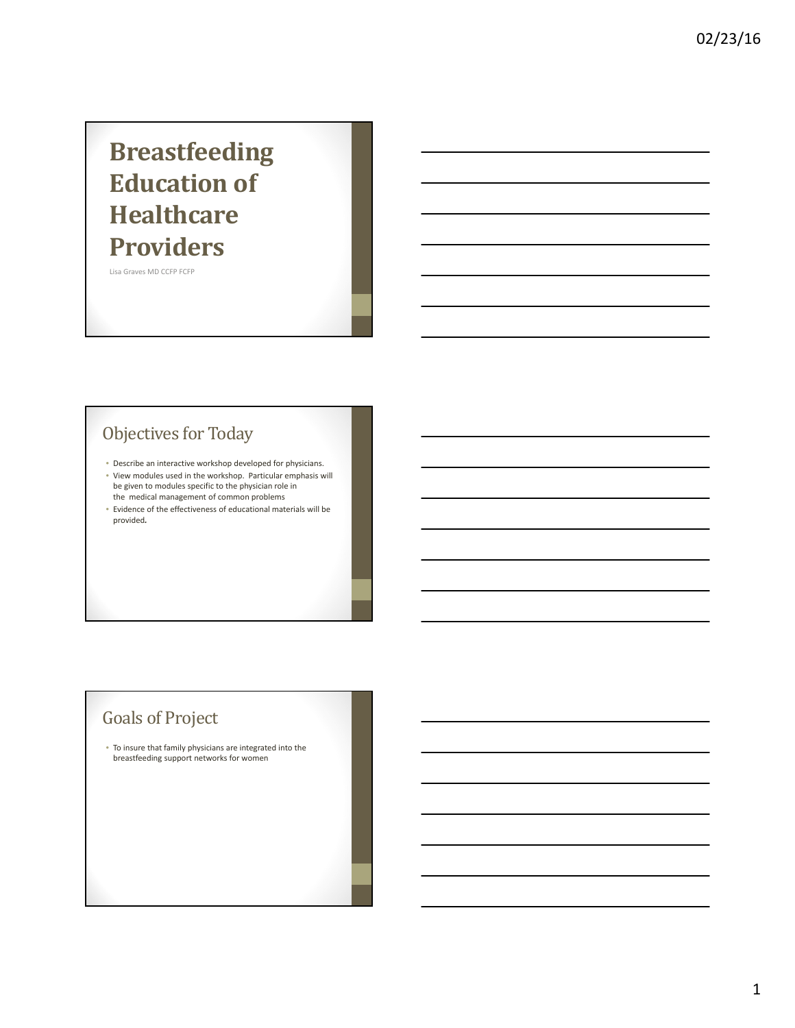# **Breastfeeding Education of Healthcare Providers**

Lisa Graves MD CCFP FCFP

## Objectives for Today

- Describe an interactive workshop developed for physicians.
- View modules used in the workshop. Particular emphasis will be given to modules specific to the physician role in the medical management of common problems
- Evidence of the effectiveness of educational materials will be provided*.*

### Goals of Project

• To insure that family physicians are integrated into the breastfeeding support networks for women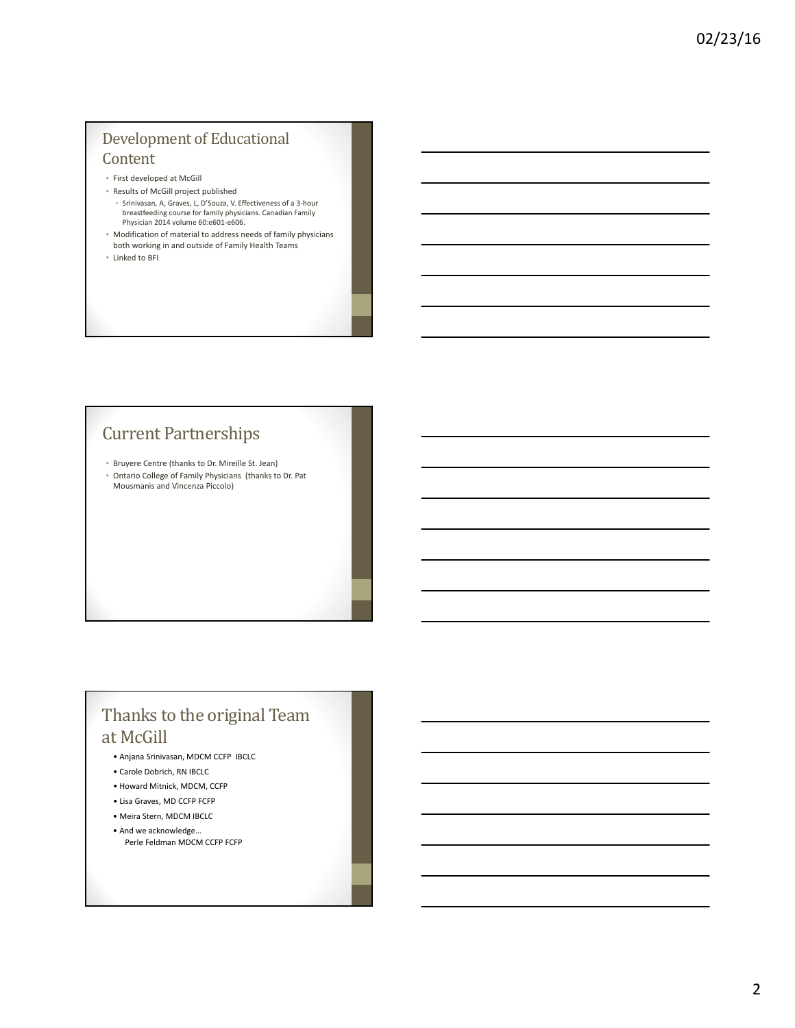### Development of Educational Content

- First developed at McGill
- Results of McGill project published • Srinivasan, A, Graves, L, D'Souza, V. Effectiveness of a 3‐hour breastfeeding course for family physicians. Canadian Family Physician 2014 volume 60:e601‐e606.
- Modification of material to address needs of family physicians both working in and outside of Family Health Teams
- Linked to BFI

### **Current Partnerships**

- Bruyere Centre (thanks to Dr. Mireille St. Jean)
- Ontario College of Family Physicians (thanks to Dr. Pat Mousmanis and Vincenza Piccolo)

## Thanks to the original Team at McGill

- Anjana Srinivasan, MDCM CCFP IBCLC
- Carole Dobrich, RN IBCLC
- Howard Mitnick, MDCM, CCFP
- Lisa Graves, MD CCFP FCFP
- Meira Stern, MDCM IBCLC
- And we acknowledge… Perle Feldman MDCM CCFP FCFP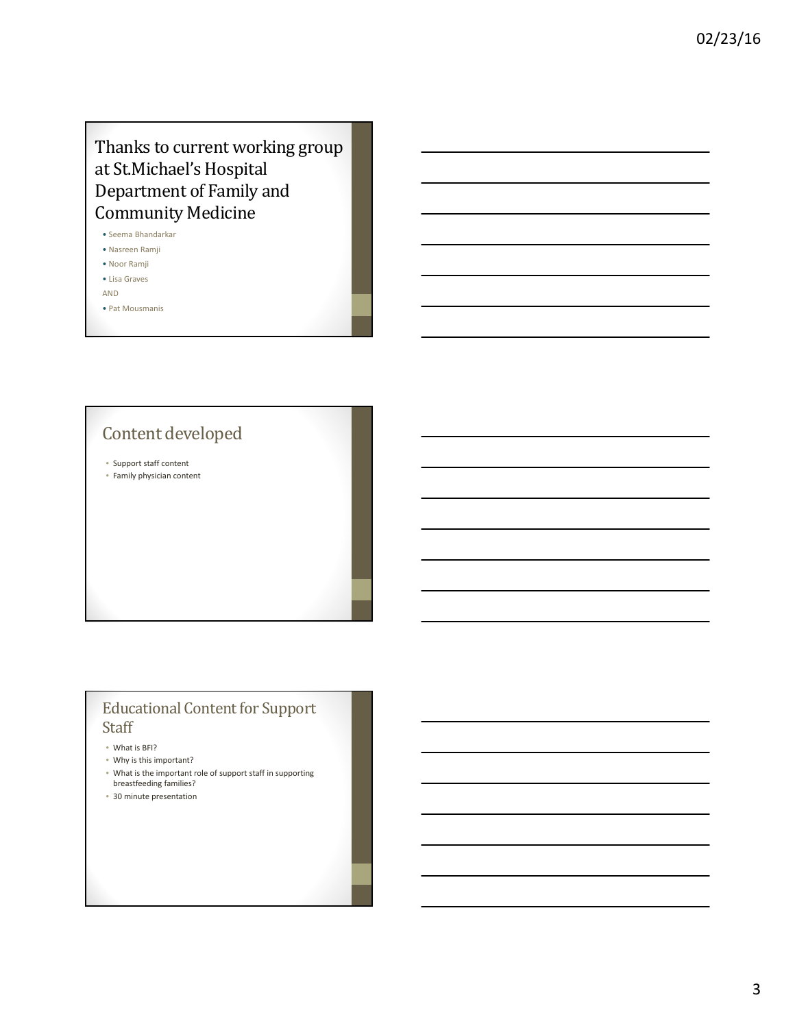### Thanks to current working group at St.Michael's Hospital Department of Family and Community Medicine

- Seema Bhandarkar
- Nasreen Ramji
- Noor Ramji • Lisa Graves
- AND
- Pat Mousmanis

Content developed

• Support staff content

• Family physician content

### Educational Content for Support Staff

- What is BFI?
- Why is this important?
- What is the important role of support staff in supporting breastfeeding families?
- 30 minute presentation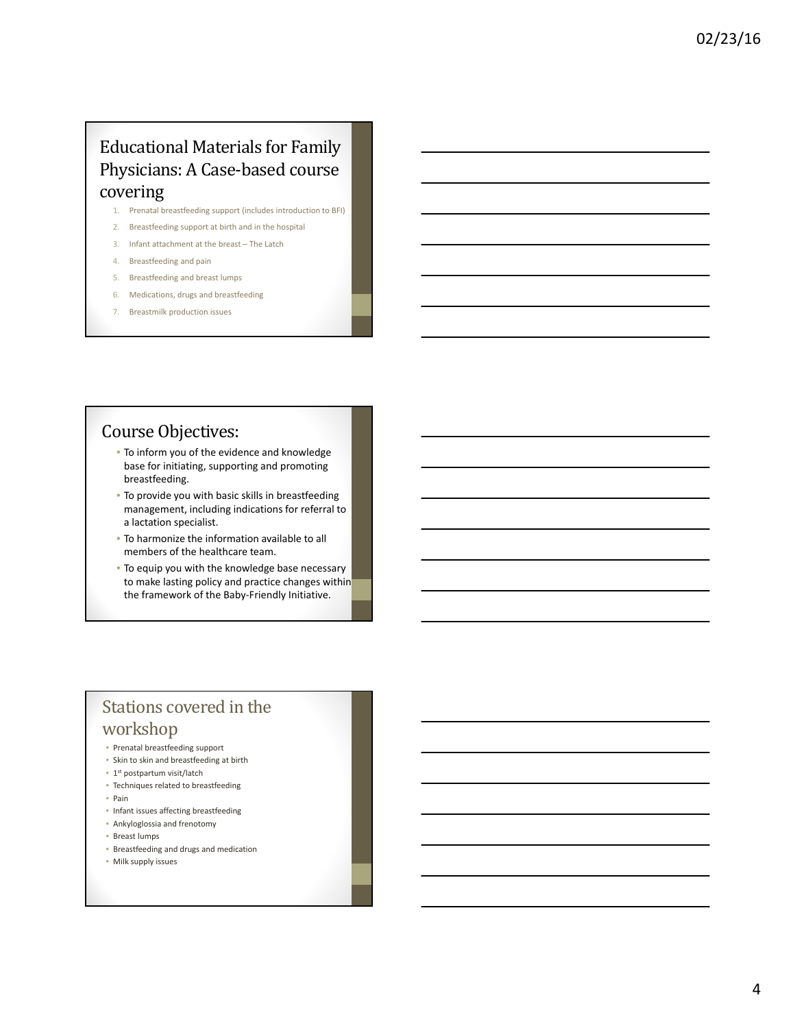### Educational Materials for Family Physicians: A Case-based course covering

- 1. Prenatal breastfeeding support (includes introduction to BFI)
- 2. Breastfeeding support at birth and in the hospital
- 3. Infant attachment at the breast The Latch
- 4. Breastfeeding and pain
- 5. Breastfeeding and breast lumps
- 6. Medications, drugs and breastfeeding
- 7. Breastmilk production issues

### Course Objectives:

- To inform you of the evidence and knowledge base for initiating, supporting and promoting breastfeeding.
- To provide you with basic skills in breastfeeding management, including indications for referral to a lactation specialist.
- To harmonize the information available to all members of the healthcare team.
- To equip you with the knowledge base necessary to make lasting policy and practice changes within the framework of the Baby‐Friendly Initiative.

### Stations covered in the workshop

- Prenatal breastfeeding support
- Skin to skin and breastfeeding at birth
- 1st postpartum visit/latch
- Techniques related to breastfeeding
- Pain
- Infant issues affecting breastfeeding
- Ankyloglossia and frenotomy
- Breast lumps
- Breastfeeding and drugs and medication
- Milk supply issues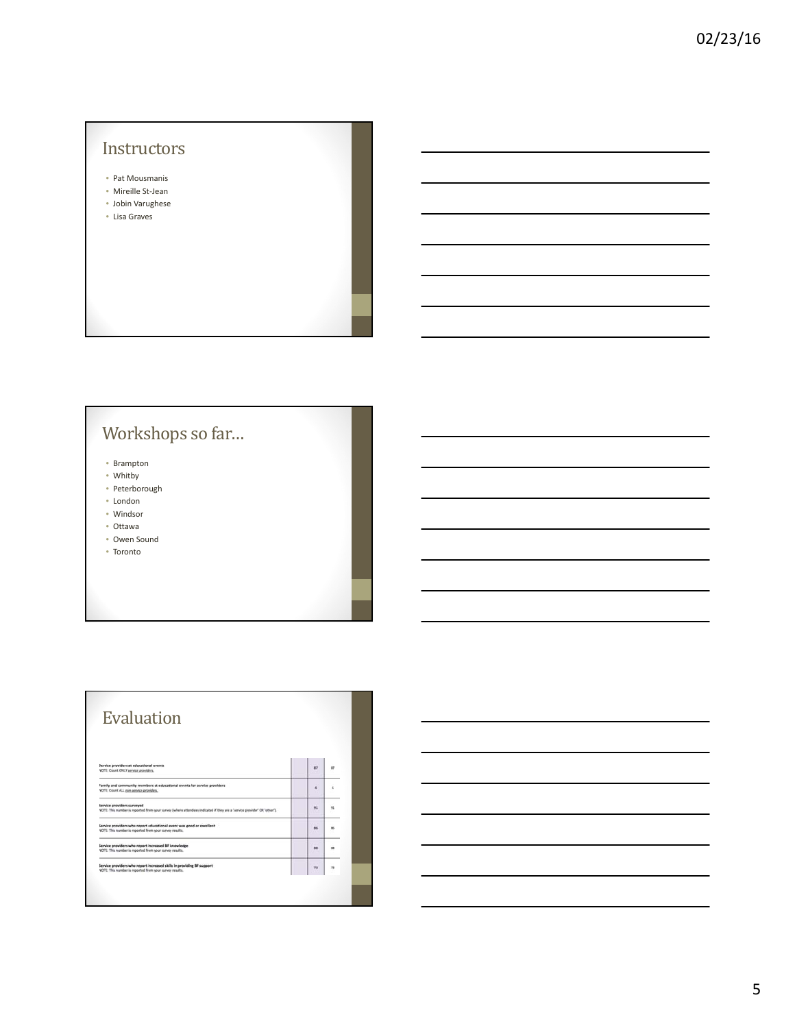### **Instructors**

- Pat Mousmanis
- Mireille St‐Jean
- Jobin Varughese
- Lisa Graves

# Workshops so far...

- Brampton
- Whitby
- Peterborough • London
- Windsor
- Ottawa
- Owen Sound
- Toronto

| R)             | $\mathbf{X}$ |
|----------------|--------------|
| $\overline{a}$ | ٠            |
| 91             | 91           |
| $\overline{a}$ | ×            |
| $^{18}$        |              |
| 71             | 78           |
|                |              |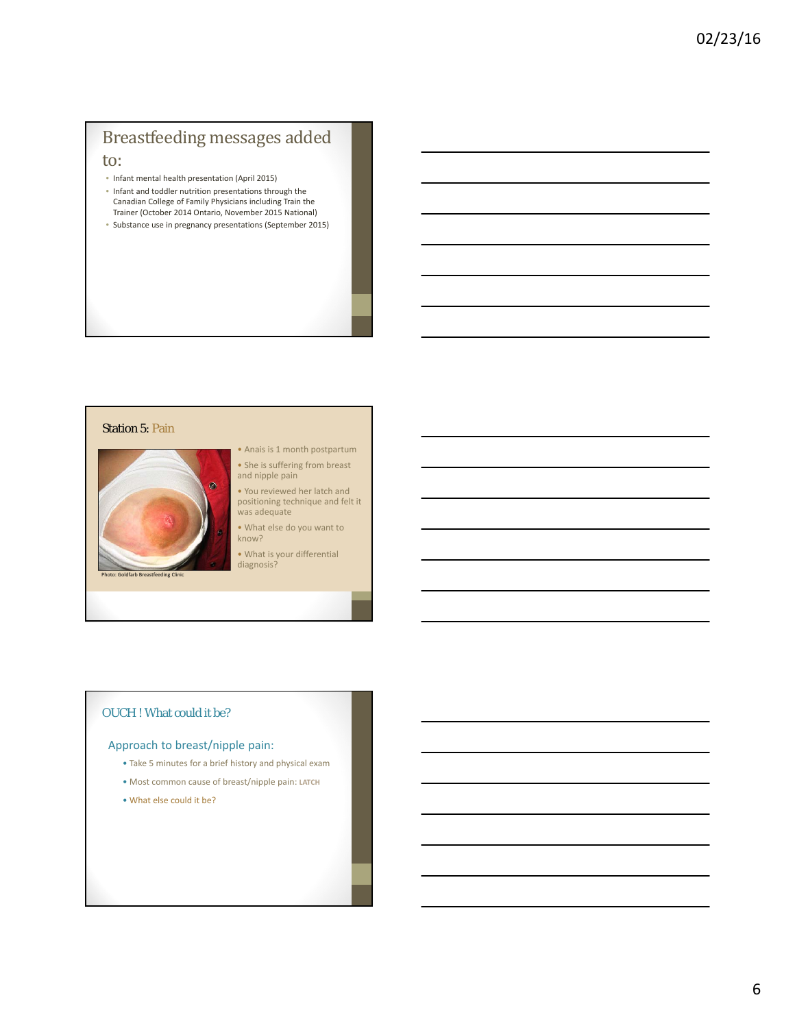### Breastfeeding messages added to:

- Infant mental health presentation (April 2015)
- Infant and toddler nutrition presentations through the Canadian College of Family Physicians including Train the Trainer (October 2014 Ontario, November 2015 National)
- Substance use in pregnancy presentations (September 2015)

#### Station 5: Pain



• Anais is 1 month postpartum • She is suffering from breast and nipple pain

• You reviewed her latch and positioning technique and felt it was adequate

• What else do you want to know?

• What is your differential diagnosis?

#### OUCH ! What could it be?

#### Approach to breast/nipple pain:

- Take 5 minutes for a brief history and physical exam
- Most common cause of breast/nipple pain: **LATCH**
- What else could it be?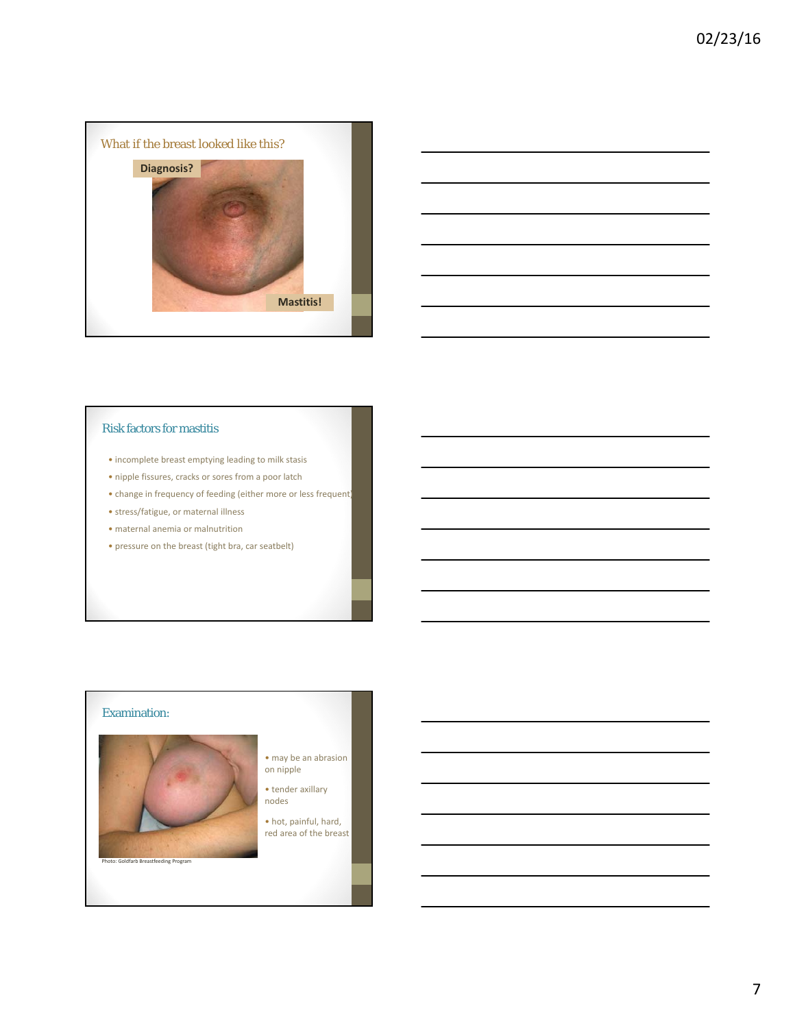



#### Risk factors for mastitis

- incomplete breast emptying leading to milk stasis
- nipple fissures, cracks or sores from a poor latch
- change in frequency of feeding (either more or less frequent)
- stress/fatigue, or maternal illness
- maternal anemia or malnutrition
- pressure on the breast (tight bra, car seatbelt)

### Examination:



- may be an abrasion on nipple
- tender axillary nodes
- hot, painful, hard, red area of the breast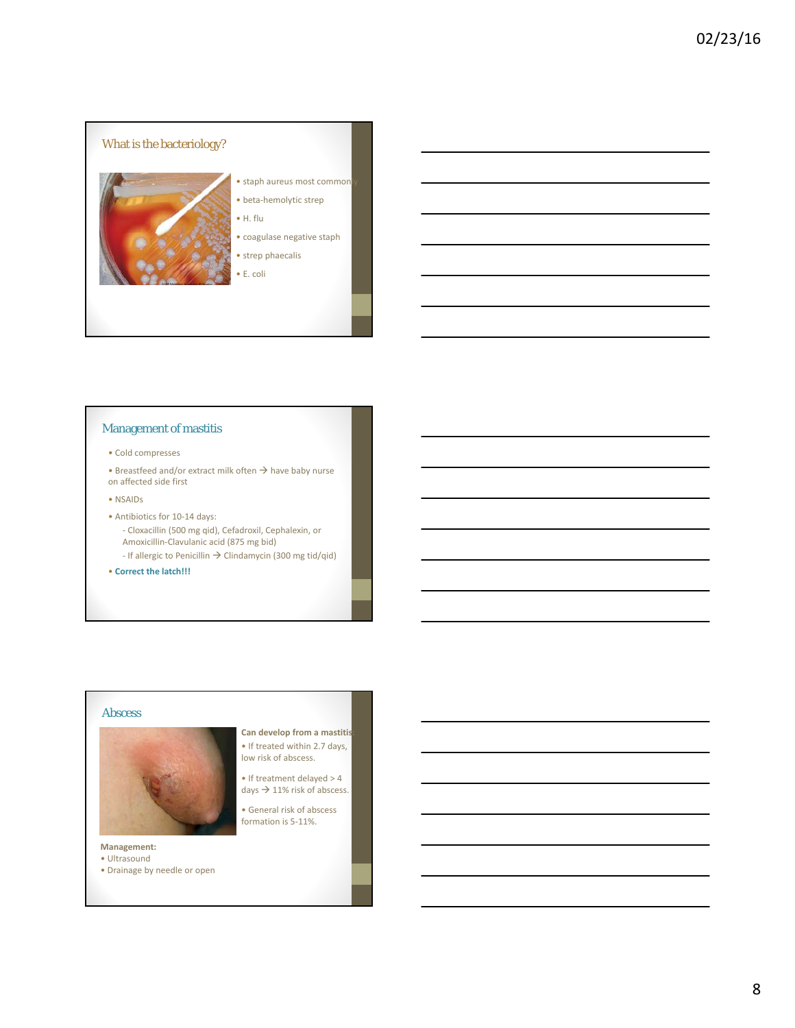

#### Management of mastitis

- Cold compresses
- Breastfeed and/or extract milk often  $\rightarrow$  have baby nurse on affected side first
- NSAIDs
- Antibiotics for 10‐14 days: ‐ Cloxacillin (500 mg qid), Cefadroxil, Cephalexin, or Amoxicillin‐Clavulanic acid (875 mg bid)
	- If allergic to Penicillin  $\rightarrow$  Clindamycin (300 mg tid/qid)
- **Correct the latch!!!**

#### Abscess



**Management:**

- Ultrasound
- Drainage by needle or open
- **Can develop from a mastitis:** • If treated within 2.7 days, low risk of abscess.
- If treatment delayed > 4 days  $\rightarrow$  11% risk of abscess.
- General risk of abscess formation is 5‐11%.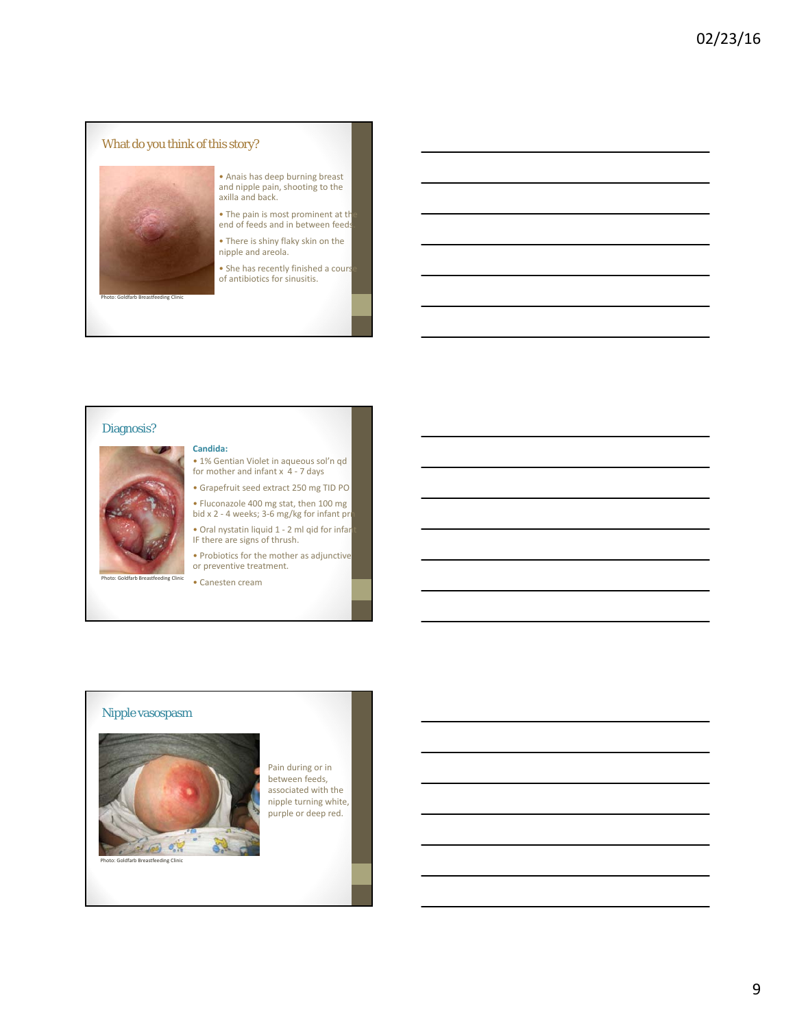

#### Diagnosis?

#### • Probiotics for the mother as adjunctive or preventive treatment.

**Candida:**

• 1% Gentian Violet in aqueous sol'n qd for mother and infant  $x$  4 - 7 days • Grapefruit seed extract 250 mg TID PO • Fluconazole 400 mg stat, then 100 mg bid x 2 - 4 weeks; 3-6 mg/kg for infant pr<mark>n</mark> • Oral nystatin liquid 1 ‐ 2 ml qid for infant IF there are signs of thrush.

dfarb Breastfeeding Clinic <br>
• Canesten cream

#### Nipple vasospasm



Pain during or in between feeds, associated with the nipple turning white, purple or deep red.

eding Clinic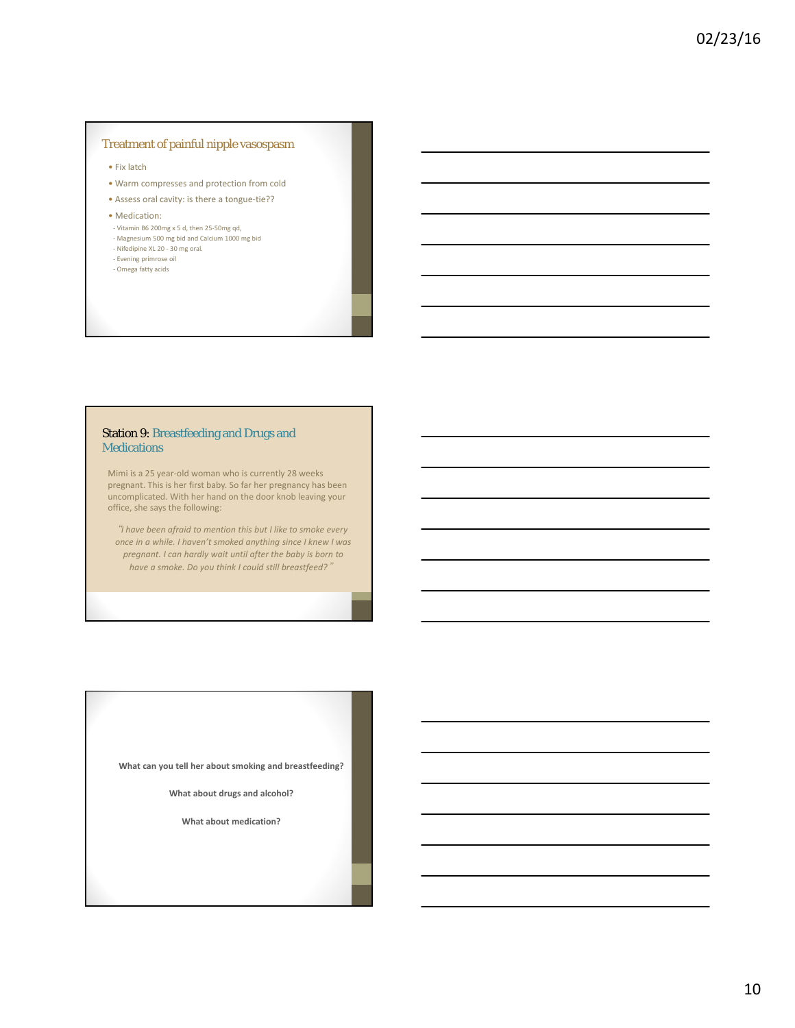#### Treatment of painful nipple vasospasm

• Fix latch

- Warm compresses and protection from cold
- Assess oral cavity: is there a tongue‐tie??
- Medication:
- ‐ Vitamin B6 200mg x 5 d, then 25‐50mg qd,
- ‐ Magnesium 500 mg bid and Calcium 1000 mg bid ‐ Nifedipine XL 20 ‐ 30 mg oral.
- ‐ Evening primrose oil
- ‐ Omega fatty acids

#### Station 9: Breastfeeding and Drugs and **Medications**

Mimi is a 25 year‐old woman who is currently 28 weeks pregnant. This is her first baby. So far her pregnancy has been uncomplicated. With her hand on the door knob leaving your office, she says the following:

"*I have been afraid to mention this but I like to smoke every once in a while. I haven't smoked anything since I knew I was pregnant. I can hardly wait until after the baby is born to have a smoke. Do you think I could still breastfeed?*"

**What can you tell her about smoking and breastfeeding?**

**What about drugs and alcohol?**

**What about medication?**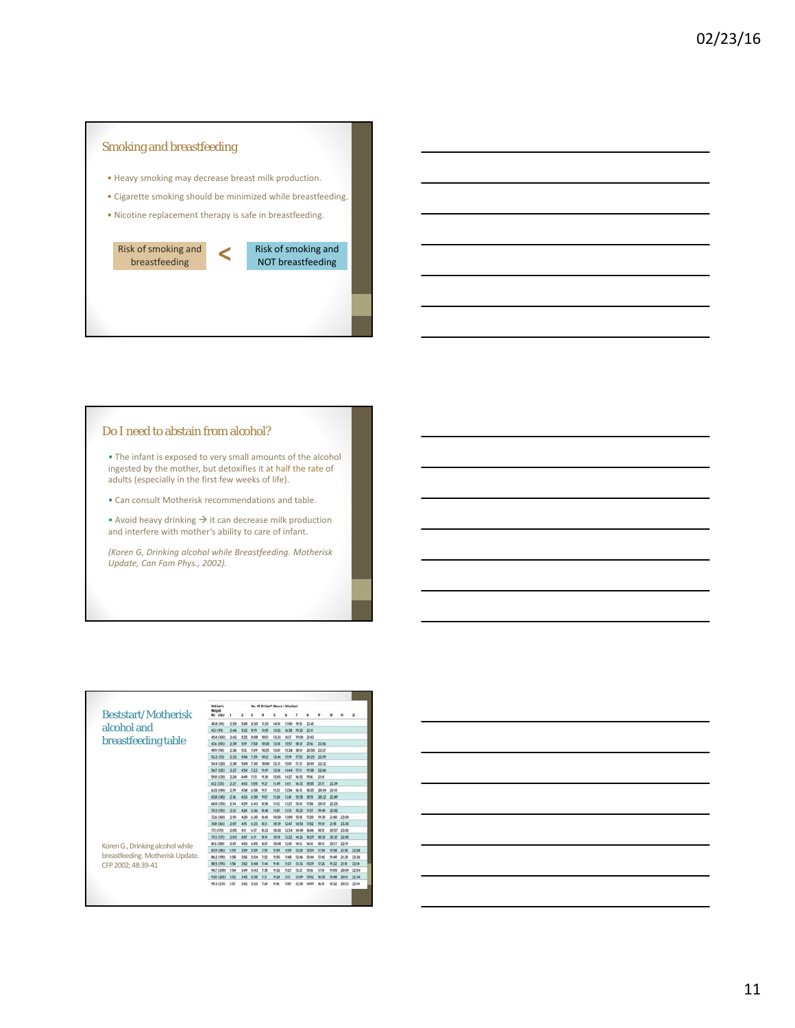

#### Do I need to abstain from alcohol?

• The infant is exposed to very small amounts of the alcohol ingested by the mother, but detoxifies it at half the rate of adults (especially in the first few weeks of life).

• Can consult Motherisk recommendations and table.

• Avoid heavy drinking  $\rightarrow$  it can decrease milk production and interfere with mother's ability to care of infant.

*(Koren G, Drinking alcohol while Breastfeeding. Motherisk Update, Can Fam Phys., 2002).*

|                                                                                                                   | Mot her's<br><b>Weight</b> |          |      | No. Of Driving* (Nours : Minutes) |                 |         |           |              |           |              |              |       |       |
|-------------------------------------------------------------------------------------------------------------------|----------------------------|----------|------|-----------------------------------|-----------------|---------|-----------|--------------|-----------|--------------|--------------|-------|-------|
| <b>Beststart/Motherisk</b>                                                                                        | <b>RG</b> Chal             |          | z    |                                   |                 |         |           |              |           |              |              |       | u     |
|                                                                                                                   | 40.8 (90)                  | $2 - 60$ | 5:40 | 8:55                              | 1:20            | 14.50   | 12:00     | 79-50        | $22 - 40$ |              |              |       |       |
| alcohol and                                                                                                       | 43.11951                   | 2:48     | 5/32 |                                   | <b>INA</b>      | 13:52   | 16/33     | <b>19.25</b> | 22.0      |              |              |       |       |
| breastfeeding table<br>Koren G., Drinking alcohol while<br>breastfeeding. Motherisk Update.<br>CFP 2002; 48:39-41 | 45.4 (100)                 | 242      | 525  | 8:02                              | 05              | 13:34   | 16:17     | 19:00        | 29.43     |              |              |       |       |
|                                                                                                                   | 47.6 (105)                 | 2:39     | 5:10 | 743                               | <b>ID-12</b>    | 12-18   | 15:57     |              | 2116      | 23:56        |              |       |       |
|                                                                                                                   | 49.9 (193)                 | 2:36     | 5:Lt | 7:49                              | 10-25           | 13:01   | 15:38     |              | 20-50     | 23/22        |              |       |       |
|                                                                                                                   | 52.2 (15)                  | 2:33     | 5:06 | $2 - 36$                          | 60              | 12:46   | 15.19     | 12:52        | 20:25     | 22:59        |              |       |       |
|                                                                                                                   | <b>54.4 (120)</b>          | 2:30     | 5:00 | 7:36                              | 10:00           | はま      | 15:01     | 17:38        | 20:01     | 22:32        |              |       |       |
|                                                                                                                   | 54.7 (125)                 | 227      | 454  | 222                               | 949             | 1214    | 14:44     | 1211         | 10-18     | 22:06        |              |       |       |
|                                                                                                                   | 59.0 (138)                 | 2:34     | 4.49 | 243                               | 全站              | $12-03$ | 14:27     | $16 - 52$    | 1916      | 2545         |              |       |       |
|                                                                                                                   | 41.2 (035)                 | 221      | 4:43 | 765                               | 9.27            | 11.49   | 14:11     | M-TX         | 18-35.    | 29.92        | 23.39        |       |       |
|                                                                                                                   | <b>43.5 (540)</b>          | $2 - 78$ | 4.38 | 6.58                              | 9:11            | 11:32   | 1354      | w<br>d5      | th: 35    | 20:54 23:56  |              |       |       |
|                                                                                                                   | 65.8 (HS)                  | 2%       | 433  | 6:50                              | 9.01            | 11:24   | 13:45     | 15.58        | 読书        | 20:32        | 22:49        |       |       |
|                                                                                                                   | 48.0 (150)                 | 234      | 429  | 6:43                              | 658             | 11:12   | 13:27     | 15.4         | $17 - 56$ | 30:30        | 22.25        |       |       |
|                                                                                                                   | 76.3 (195)                 | 20       | 434  | 6:36                              | 8.48            | 12:04   | 1313      | 医器           | 27:37     | 19:45        | 22:02        |       |       |
|                                                                                                                   | <b>72.6 (160)</b>          | 2:50     | 4:20 | 4/30                              | 8:40            | 10:50   | 13:00     | 15:50        | 12.20     | <b>19:30</b> | 25:40        | 23:50 |       |
|                                                                                                                   | 24.8 (145)                 | 2:07     | 4.15 | 4:23                              | 新型              | 10-39   | $12 - 42$ | <b>M44</b>   | 12:02     | 59.55        | 25.08        | 2150  |       |
|                                                                                                                   | 72,1 (728)                 | 2:65     | 4%   | 4c37                              | 8:23            | 10:29   | 12:34     |              | 361406    | 18.52        | 20:57        | 23.03 |       |
|                                                                                                                   | 79.3 (175)                 | 2:03     | 4.97 | 6:31                              | R <sub>34</sub> | 1618    | 12:22     | 14:26        | W.29      | 地33          | 20:37        | 22.40 |       |
|                                                                                                                   | <b>BLA CIRCI</b>           | $2 - 01$ | 4:55 | 6:05                              | B:07            | 10:08   | 1250      | 14:52        | 36.54     | 1815         | 20:17        | 22:99 |       |
|                                                                                                                   | <b>R3.9 (385)</b>          | 159      | 3:59 | 5.59                              | 159             | 559     | 11:59     | 33:59        | 15:59     | $12-54$      | 19.58        | 21:58 | 23.58 |
|                                                                                                                   | <b>86.2 (190)</b>          | 158      | 3:56 | 554                               | 152             | 9.50    | 19.49     | 13:46        | 19:44     | (24)         | 19:40        | 29.58 | 23:36 |
|                                                                                                                   | 88.5 (795)                 | 154      | 3:52 | 5.48                              | TA4             | 940     | $11-17$   | 11:33        | Ph-29     | 12:26        | TR:22        | 21:58 | 2114  |
|                                                                                                                   | 90.7 (200)                 | 154      | 3.49 | 5.43                              | 7:18            | 9:32    | 11:27     | 设置           | 1516      | 17:10        | <b>79.05</b> | 30-98 | 22:54 |
|                                                                                                                   | 93.0 (20%)                 | 152      | 3.45 | 5:38                              | 73              | $9-24$  | mm        | 13:00        | 15:02     | 16.55        | Ur.dk        | 20:41 | 22:34 |
|                                                                                                                   | 95.3 (210)                 | 151      | 342  | 3:33                              | 724             | 9%      | 11:07     | 12:50        | 14:49     | <b>Modi</b>  | 98.32        | 20:21 | 2254  |

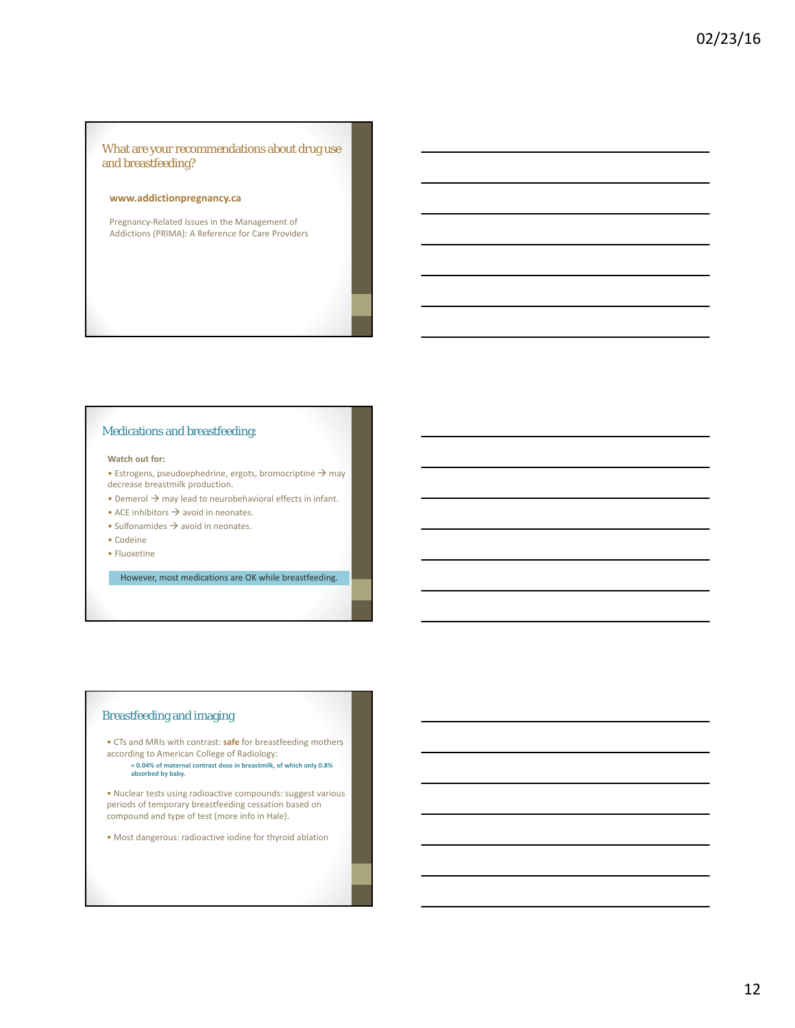#### What are your recommendations about drug use and breastfeeding?

#### **www.addictionpregnancy.ca**

Pregnancy‐Related Issues in the Management of Addictions (PRIMA): A Reference for Care Providers

#### Medications and breastfeeding:

#### **Watch out for:**

- Estrogens, pseudoephedrine, ergots, bromocriptine  $\rightarrow$  may decrease breastmilk production.
- Demerol  $\rightarrow$  may lead to neurobehavioral effects in infant.
- ACE inhibitors  $\rightarrow$  avoid in neonates.
- Sulfonamides  $\rightarrow$  avoid in neonates.
- Codeine
- Fluoxetine

However, most medications are OK while breastfeeding.

#### Breastfeeding and imaging

• CTs and MRIs with contrast: **safe** for breastfeeding mothers according to American College of Radiology:

**< 0.04% of maternal contrast dose in breastmilk, of which only 0.8% absorbed by baby.**

• Nuclear tests using radioactive compounds: suggest various periods of temporary breastfeeding cessation based on compound and type of test (more info in Hale).

• Most dangerous: radioactive iodine for thyroid ablation